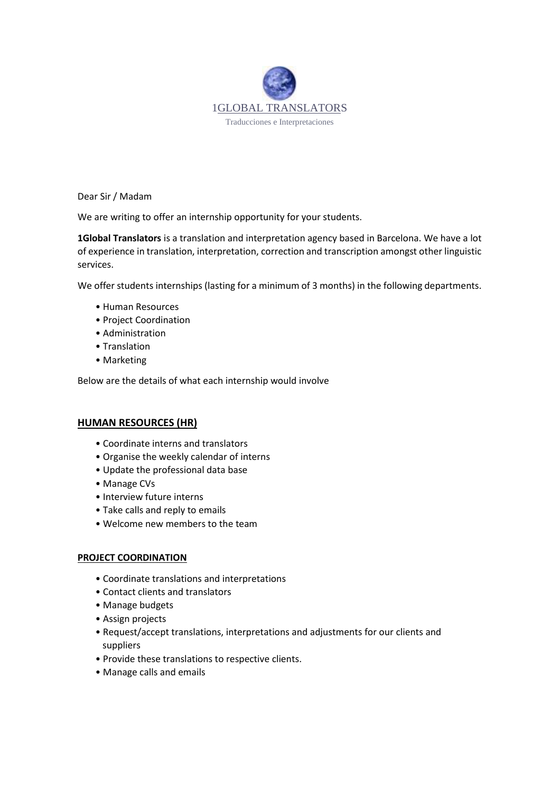

Dear Sir / Madam

We are writing to offer an internship opportunity for your students.

**1Global Translators** is a translation and interpretation agency based in Barcelona. We have a lot of experience in translation, interpretation, correction and transcription amongst other linguistic services.

We offer students internships (lasting for a minimum of 3 months) in the following departments.

- Human Resources
- Project Coordination
- Administration
- Translation
- Marketing

Below are the details of what each internship would involve

### **HUMAN RESOURCES (HR)**

- Coordinate interns and translators
- Organise the weekly calendar of interns
- Update the professional data base
- Manage CVs
- Interview future interns
- Take calls and reply to emails
- Welcome new members to the team

## **PROJECT COORDINATION**

- Coordinate translations and interpretations
- Contact clients and translators
- Manage budgets
- Assign projects
- Request/accept translations, interpretations and adjustments for our clients and suppliers
- Provide these translations to respective clients.
- Manage calls and emails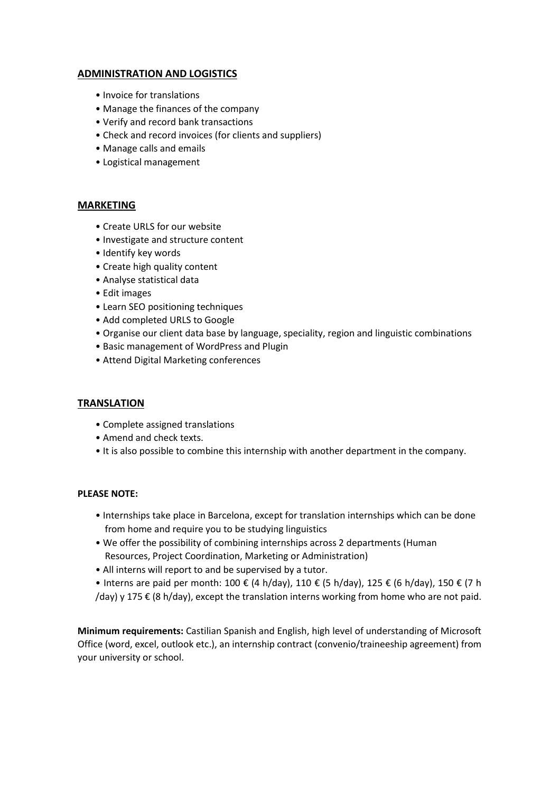# **ADMINISTRATION AND LOGISTICS**

- Invoice for translations
- Manage the finances of the company
- Verify and record bank transactions
- Check and record invoices (for clients and suppliers)
- Manage calls and emails
- Logistical management

### **MARKETING**

- Create URLS for our website
- Investigate and structure content
- Identify key words
- Create high quality content
- Analyse statistical data
- Edit images
- Learn SEO positioning techniques
- Add completed URLS to Google
- Organise our client data base by language, speciality, region and linguistic combinations
- Basic management of WordPress and Plugin
- Attend Digital Marketing conferences

### **TRANSLATION**

- Complete assigned translations
- Amend and check texts.
- It is also possible to combine this internship with another department in the company.

### **PLEASE NOTE:**

- Internships take place in Barcelona, except for translation internships which can be done from home and require you to be studying linguistics
- We offer the possibility of combining internships across 2 departments (Human Resources, Project Coordination, Marketing or Administration)
- All interns will report to and be supervised by a tutor.
- Interns are paid per month: 100 € (4 h/day), 110 € (5 h/day), 125 € (6 h/day), 150 € (7 h  $/$ day) y 175  $\epsilon$  (8 h/day), except the translation interns working from home who are not paid.

**Minimum requirements:** Castilian Spanish and English, high level of understanding of Microsoft Office (word, excel, outlook etc.), an internship contract (convenio/traineeship agreement) from your university or school.